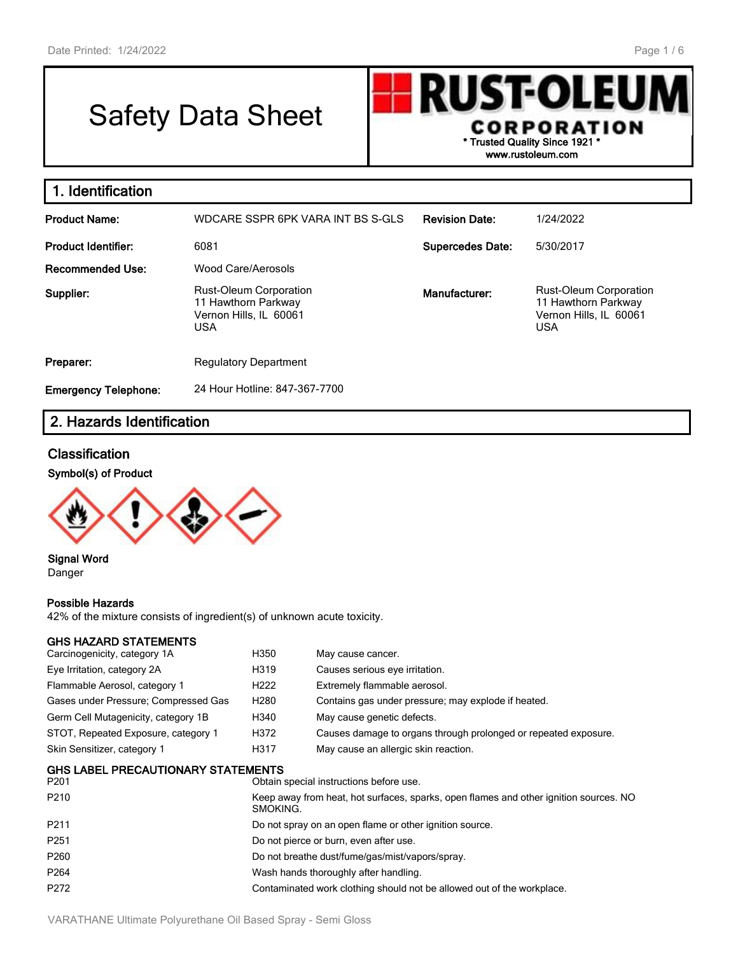# Safety Data Sheet

**RUST-OLEU** CORPORATION **\* Trusted Quality Since 1921 \* www.rustoleum.com**

| 1. Identification           |                                                                                              |                         |                                                                                              |
|-----------------------------|----------------------------------------------------------------------------------------------|-------------------------|----------------------------------------------------------------------------------------------|
| <b>Product Name:</b>        | WDCARE SSPR 6PK VARA INT BS S-GLS                                                            | <b>Revision Date:</b>   | 1/24/2022                                                                                    |
| <b>Product Identifier:</b>  | 6081                                                                                         | <b>Supercedes Date:</b> | 5/30/2017                                                                                    |
| <b>Recommended Use:</b>     | Wood Care/Aerosols                                                                           |                         |                                                                                              |
| Supplier:                   | <b>Rust-Oleum Corporation</b><br>11 Hawthorn Parkway<br>Vernon Hills, IL 60061<br><b>USA</b> | Manufacturer:           | <b>Rust-Oleum Corporation</b><br>11 Hawthorn Parkway<br>Vernon Hills, IL 60061<br><b>USA</b> |
| Preparer:                   | <b>Regulatory Department</b>                                                                 |                         |                                                                                              |
| <b>Emergency Telephone:</b> | 24 Hour Hotline: 847-367-7700                                                                |                         |                                                                                              |

# **2. Hazards Identification**

# **Classification**

#### **Symbol(s) of Product**



**Signal Word** Danger

#### **Possible Hazards**

42% of the mixture consists of ingredient(s) of unknown acute toxicity.

#### **GHS HAZARD STATEMENTS**

| Carcinogenicity, category 1A                                                                 | H350             | May cause cancer.                                               |
|----------------------------------------------------------------------------------------------|------------------|-----------------------------------------------------------------|
| Eye Irritation, category 2A                                                                  | H319             | Causes serious eye irritation.                                  |
| Flammable Aerosol, category 1                                                                | H <sub>222</sub> | Extremely flammable aerosol.                                    |
| Gases under Pressure; Compressed Gas                                                         | H <sub>280</sub> | Contains gas under pressure; may explode if heated.             |
| Germ Cell Mutagenicity, category 1B                                                          | H340             | May cause genetic defects.                                      |
| STOT, Repeated Exposure, category 1                                                          | H372             | Causes damage to organs through prolonged or repeated exposure. |
| Skin Sensitizer, category 1                                                                  | H317             | May cause an allergic skin reaction.                            |
| <b>GHS LABEL PRECAUTIONARY STATEMENTS</b><br>P201<br>Obtain special instructions before use. |                  |                                                                 |

| PZU L            | Obtain special instructions before use.                                                           |
|------------------|---------------------------------------------------------------------------------------------------|
| P <sub>210</sub> | Keep away from heat, hot surfaces, sparks, open flames and other ignition sources. NO<br>SMOKING. |
| P211             | Do not spray on an open flame or other ignition source.                                           |
| P <sub>251</sub> | Do not pierce or burn, even after use.                                                            |
| P260             | Do not breathe dust/fume/gas/mist/vapors/spray.                                                   |
| P <sub>264</sub> | Wash hands thoroughly after handling.                                                             |
| P272             | Contaminated work clothing should not be allowed out of the workplace.                            |
|                  |                                                                                                   |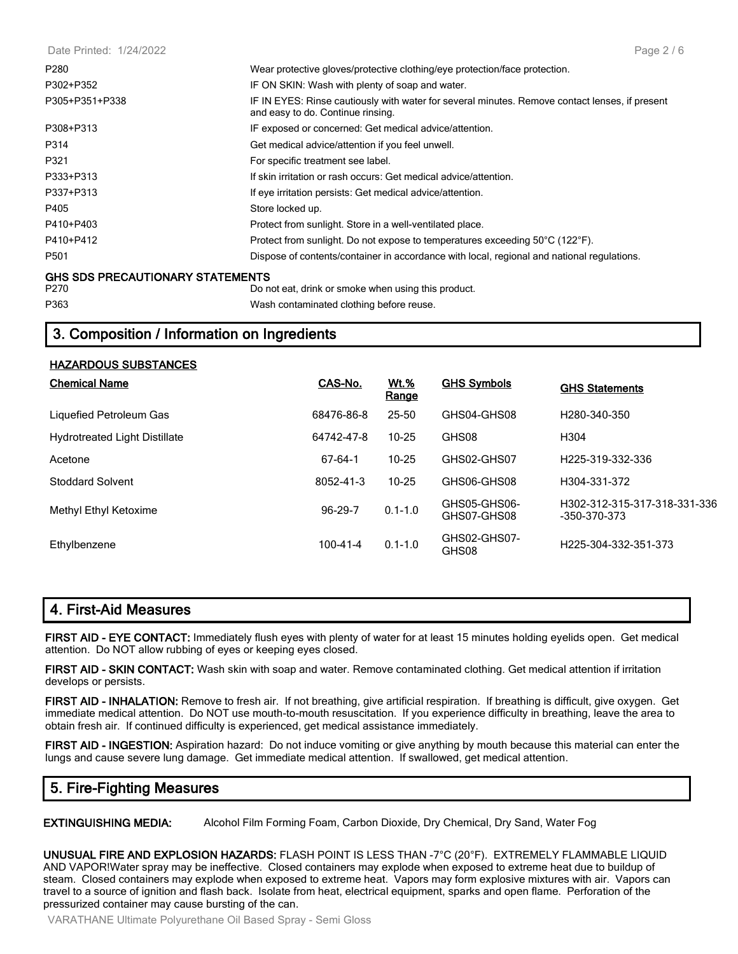| P280                                    | Wear protective gloves/protective clothing/eye protection/face protection.                                                          |
|-----------------------------------------|-------------------------------------------------------------------------------------------------------------------------------------|
| P302+P352                               | IF ON SKIN: Wash with plenty of soap and water.                                                                                     |
| P305+P351+P338                          | IF IN EYES: Rinse cautiously with water for several minutes. Remove contact lenses, if present<br>and easy to do. Continue rinsing. |
| P308+P313                               | IF exposed or concerned: Get medical advice/attention.                                                                              |
| P314                                    | Get medical advice/attention if you feel unwell.                                                                                    |
| P321                                    | For specific treatment see label.                                                                                                   |
| P333+P313                               | If skin irritation or rash occurs: Get medical advice/attention.                                                                    |
| P337+P313                               | If eye irritation persists: Get medical advice/attention.                                                                           |
| P405                                    | Store locked up.                                                                                                                    |
| P410+P403                               | Protect from sunlight. Store in a well-ventilated place.                                                                            |
| P410+P412                               | Protect from sunlight. Do not expose to temperatures exceeding 50°C (122°F).                                                        |
| P <sub>501</sub>                        | Dispose of contents/container in accordance with local, regional and national regulations.                                          |
| <b>GHS SDS PRECAUTIONARY STATEMENTS</b> |                                                                                                                                     |
| P270                                    | Do not eat, drink or smoke when using this product.                                                                                 |
| P363                                    | Wash contaminated clothing before reuse.                                                                                            |

# **3. Composition / Information on Ingredients**

| <b>Chemical Name</b>                 | CAS-No.    | <u>Wt.%</u><br>Range | <b>GHS Symbols</b>          | <b>GHS Statements</b>                        |
|--------------------------------------|------------|----------------------|-----------------------------|----------------------------------------------|
| Liquefied Petroleum Gas              | 68476-86-8 | $25 - 50$            | GHS04-GHS08                 | H <sub>280</sub> -340-350                    |
| <b>Hydrotreated Light Distillate</b> | 64742-47-8 | $10 - 25$            | GHS08                       | H <sub>304</sub>                             |
| Acetone                              | 67-64-1    | $10 - 25$            | GHS02-GHS07                 | H <sub>225</sub> -319-332-336                |
| <b>Stoddard Solvent</b>              | 8052-41-3  | $10 - 25$            | GHS06-GHS08                 | H304-331-372                                 |
| Methyl Ethyl Ketoxime                | 96-29-7    | $0.1 - 1.0$          | GHS05-GHS06-<br>GHS07-GHS08 | H302-312-315-317-318-331-336<br>-350-370-373 |
| Ethylbenzene                         | 100-41-4   | $0.1 - 1.0$          | GHS02-GHS07-<br>GHS08       | H225-304-332-351-373                         |

#### **4. First-Aid Measures**

**FIRST AID - EYE CONTACT:** Immediately flush eyes with plenty of water for at least 15 minutes holding eyelids open. Get medical attention. Do NOT allow rubbing of eyes or keeping eyes closed.

**FIRST AID - SKIN CONTACT:** Wash skin with soap and water. Remove contaminated clothing. Get medical attention if irritation develops or persists.

**FIRST AID - INHALATION:** Remove to fresh air. If not breathing, give artificial respiration. If breathing is difficult, give oxygen. Get immediate medical attention. Do NOT use mouth-to-mouth resuscitation. If you experience difficulty in breathing, leave the area to obtain fresh air. If continued difficulty is experienced, get medical assistance immediately.

**FIRST AID - INGESTION:** Aspiration hazard: Do not induce vomiting or give anything by mouth because this material can enter the lungs and cause severe lung damage. Get immediate medical attention. If swallowed, get medical attention.

# **5. Fire-Fighting Measures**

**EXTINGUISHING MEDIA:** Alcohol Film Forming Foam, Carbon Dioxide, Dry Chemical, Dry Sand, Water Fog

**UNUSUAL FIRE AND EXPLOSION HAZARDS:** FLASH POINT IS LESS THAN -7°C (20°F). EXTREMELY FLAMMABLE LIQUID AND VAPOR!Water spray may be ineffective. Closed containers may explode when exposed to extreme heat due to buildup of steam. Closed containers may explode when exposed to extreme heat. Vapors may form explosive mixtures with air. Vapors can travel to a source of ignition and flash back. Isolate from heat, electrical equipment, sparks and open flame. Perforation of the pressurized container may cause bursting of the can.

VARATHANE Ultimate Polyurethane Oil Based Spray - Semi Gloss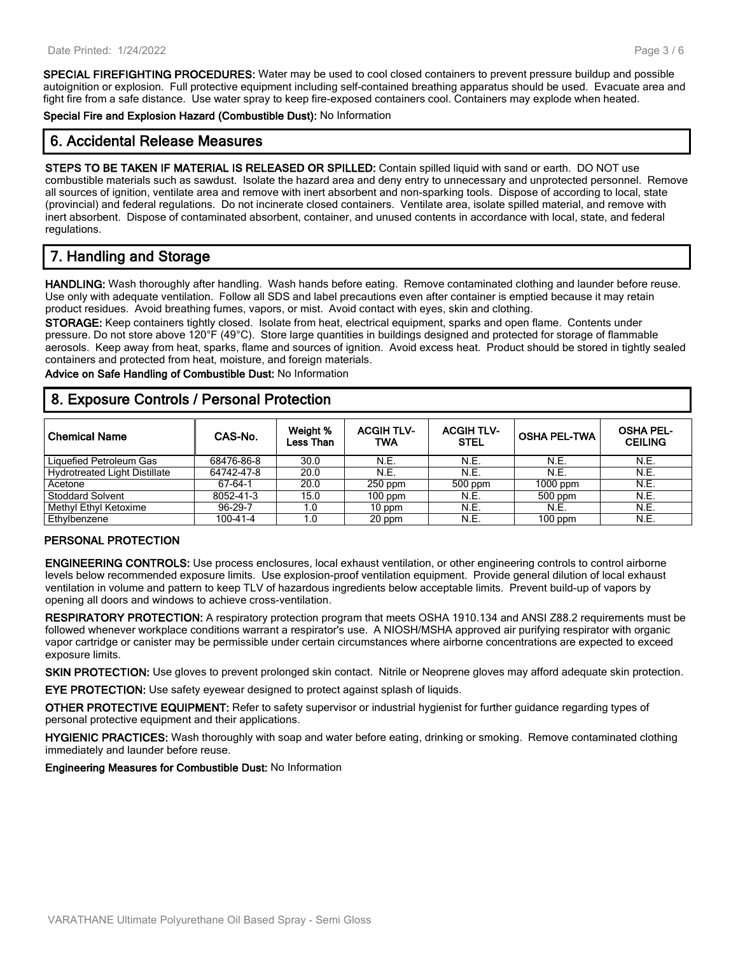**SPECIAL FIREFIGHTING PROCEDURES:** Water may be used to cool closed containers to prevent pressure buildup and possible autoignition or explosion. Full protective equipment including self-contained breathing apparatus should be used. Evacuate area and fight fire from a safe distance. Use water spray to keep fire-exposed containers cool. Containers may explode when heated.

**Special Fire and Explosion Hazard (Combustible Dust):** No Information

# **6. Accidental Release Measures**

**STEPS TO BE TAKEN IF MATERIAL IS RELEASED OR SPILLED:** Contain spilled liquid with sand or earth. DO NOT use combustible materials such as sawdust. Isolate the hazard area and deny entry to unnecessary and unprotected personnel. Remove all sources of ignition, ventilate area and remove with inert absorbent and non-sparking tools. Dispose of according to local, state (provincial) and federal regulations. Do not incinerate closed containers. Ventilate area, isolate spilled material, and remove with inert absorbent. Dispose of contaminated absorbent, container, and unused contents in accordance with local, state, and federal regulations.

# **7. Handling and Storage**

**HANDLING:** Wash thoroughly after handling. Wash hands before eating. Remove contaminated clothing and launder before reuse. Use only with adequate ventilation. Follow all SDS and label precautions even after container is emptied because it may retain product residues. Avoid breathing fumes, vapors, or mist. Avoid contact with eyes, skin and clothing.

**STORAGE:** Keep containers tightly closed. Isolate from heat, electrical equipment, sparks and open flame. Contents under pressure. Do not store above 120°F (49°C). Store large quantities in buildings designed and protected for storage of flammable aerosols. Keep away from heat, sparks, flame and sources of ignition. Avoid excess heat. Product should be stored in tightly sealed containers and protected from heat, moisture, and foreign materials.

**Advice on Safe Handling of Combustible Dust:** No Information

## **8. Exposure Controls / Personal Protection**

| <b>Chemical Name</b>                 | CAS-No.    | Weight %<br>Less Than | <b>ACGIH TLV-</b><br>TWA | <b>ACGIH TLV-</b><br><b>STEL</b> | <b>OSHA PEL-TWA</b> | <b>OSHA PEL-</b><br><b>CEILING</b> |
|--------------------------------------|------------|-----------------------|--------------------------|----------------------------------|---------------------|------------------------------------|
| Liquefied Petroleum Gas              | 68476-86-8 | 30.0                  | N.E.                     | N.E.                             | N.E.                | N.E.                               |
| <b>Hydrotreated Light Distillate</b> | 64742-47-8 | 20.0                  | N.E.                     | N.E.                             | N.E.                | N.E.                               |
| Acetone                              | 67-64-1    | 20.0                  | $250$ ppm                | $500$ ppm                        | $1000$ ppm          | N.E.                               |
| <b>Stoddard Solvent</b>              | 8052-41-3  | 15.0                  | $100$ ppm                | N.E.                             | 500 ppm             | N.E.                               |
| Methyl Ethyl Ketoxime                | 96-29-7    | 1.0                   | 10 ppm                   | N.E.                             | N.E.                | N.E.                               |
| Ethylbenzene                         | 100-41-4   | 1.0                   | 20 ppm                   | N.E.                             | $100$ ppm           | N.E.                               |

#### **PERSONAL PROTECTION**

**ENGINEERING CONTROLS:** Use process enclosures, local exhaust ventilation, or other engineering controls to control airborne levels below recommended exposure limits. Use explosion-proof ventilation equipment. Provide general dilution of local exhaust ventilation in volume and pattern to keep TLV of hazardous ingredients below acceptable limits. Prevent build-up of vapors by opening all doors and windows to achieve cross-ventilation.

**RESPIRATORY PROTECTION:** A respiratory protection program that meets OSHA 1910.134 and ANSI Z88.2 requirements must be followed whenever workplace conditions warrant a respirator's use. A NIOSH/MSHA approved air purifying respirator with organic vapor cartridge or canister may be permissible under certain circumstances where airborne concentrations are expected to exceed exposure limits.

**SKIN PROTECTION:** Use gloves to prevent prolonged skin contact. Nitrile or Neoprene gloves may afford adequate skin protection.

**EYE PROTECTION:** Use safety eyewear designed to protect against splash of liquids.

**OTHER PROTECTIVE EQUIPMENT:** Refer to safety supervisor or industrial hygienist for further guidance regarding types of personal protective equipment and their applications.

**HYGIENIC PRACTICES:** Wash thoroughly with soap and water before eating, drinking or smoking. Remove contaminated clothing immediately and launder before reuse.

**Engineering Measures for Combustible Dust:** No Information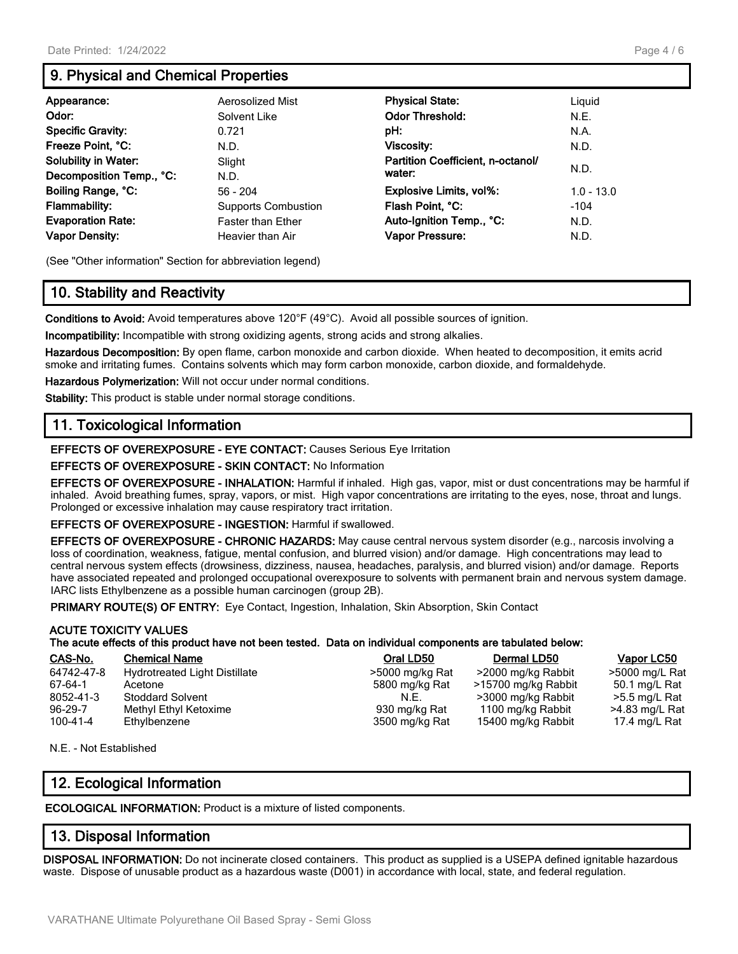# **9. Physical and Chemical Properties**

| Appearance:                 | Aerosolized Mist           | <b>Physical State:</b>            | Liquid       |
|-----------------------------|----------------------------|-----------------------------------|--------------|
| Odor:                       | Solvent Like               | <b>Odor Threshold:</b>            | N.E.         |
| <b>Specific Gravity:</b>    | 0.721                      | pH:                               | N.A.         |
| Freeze Point, °C:           | N.D.                       | Viscosity:                        | N.D.         |
| <b>Solubility in Water:</b> | Slight                     | Partition Coefficient, n-octanol/ |              |
| Decomposition Temp., °C:    | N.D.                       | water:                            | N.D.         |
| Boiling Range, °C:          | $56 - 204$                 | <b>Explosive Limits, vol%:</b>    | $1.0 - 13.0$ |
| <b>Flammability:</b>        | <b>Supports Combustion</b> | Flash Point, °C:                  | $-104$       |
| <b>Evaporation Rate:</b>    | <b>Faster than Ether</b>   | Auto-Ignition Temp., °C:          | N.D.         |
| <b>Vapor Density:</b>       | Heavier than Air           | Vapor Pressure:                   | N.D.         |

(See "Other information" Section for abbreviation legend)

# **10. Stability and Reactivity**

**Conditions to Avoid:** Avoid temperatures above 120°F (49°C). Avoid all possible sources of ignition.

**Incompatibility:** Incompatible with strong oxidizing agents, strong acids and strong alkalies.

**Hazardous Decomposition:** By open flame, carbon monoxide and carbon dioxide. When heated to decomposition, it emits acrid smoke and irritating fumes. Contains solvents which may form carbon monoxide, carbon dioxide, and formaldehyde.

**Hazardous Polymerization:** Will not occur under normal conditions.

**Stability:** This product is stable under normal storage conditions.

#### **11. Toxicological Information**

**EFFECTS OF OVEREXPOSURE - EYE CONTACT:** Causes Serious Eye Irritation

**EFFECTS OF OVEREXPOSURE - SKIN CONTACT:** No Information

**EFFECTS OF OVEREXPOSURE - INHALATION:** Harmful if inhaled. High gas, vapor, mist or dust concentrations may be harmful if inhaled. Avoid breathing fumes, spray, vapors, or mist. High vapor concentrations are irritating to the eyes, nose, throat and lungs. Prolonged or excessive inhalation may cause respiratory tract irritation.

**EFFECTS OF OVEREXPOSURE - INGESTION:** Harmful if swallowed.

**EFFECTS OF OVEREXPOSURE - CHRONIC HAZARDS:** May cause central nervous system disorder (e.g., narcosis involving a loss of coordination, weakness, fatigue, mental confusion, and blurred vision) and/or damage. High concentrations may lead to central nervous system effects (drowsiness, dizziness, nausea, headaches, paralysis, and blurred vision) and/or damage. Reports have associated repeated and prolonged occupational overexposure to solvents with permanent brain and nervous system damage. IARC lists Ethylbenzene as a possible human carcinogen (group 2B).

**PRIMARY ROUTE(S) OF ENTRY:** Eye Contact, Ingestion, Inhalation, Skin Absorption, Skin Contact

#### **ACUTE TOXICITY VALUES The acute effects of this product have not been tested. Data on individual components are tabulated below:**

| CAS-No.       | <b>Chemical Name</b>                 | Oral LD50       | Dermal LD50         | Vapor LC50     |
|---------------|--------------------------------------|-----------------|---------------------|----------------|
| 64742-47-8    | <b>Hydrotreated Light Distillate</b> | >5000 mg/kg Rat | >2000 mg/kg Rabbit  | >5000 mg/L Rat |
| 67-64-1       | Acetone                              | 5800 mg/kg Rat  | >15700 mg/kg Rabbit | 50.1 mg/L Rat  |
| 8052-41-3     | <b>Stoddard Solvent</b>              | N.F.            | >3000 mg/kg Rabbit  | >5.5 mg/L Rat  |
| $96 - 29 - 7$ | Methyl Ethyl Ketoxime                | 930 mg/kg Rat   | 1100 mg/kg Rabbit   | >4.83 mg/L Rat |
| 100-41-4      | Ethylbenzene                         | 3500 mg/kg Rat  | 15400 mg/kg Rabbit  | 17.4 mg/L Rat  |

N.E. - Not Established

#### **12. Ecological Information**

**ECOLOGICAL INFORMATION:** Product is a mixture of listed components.

#### **13. Disposal Information**

**DISPOSAL INFORMATION:** Do not incinerate closed containers. This product as supplied is a USEPA defined ignitable hazardous waste. Dispose of unusable product as a hazardous waste (D001) in accordance with local, state, and federal regulation.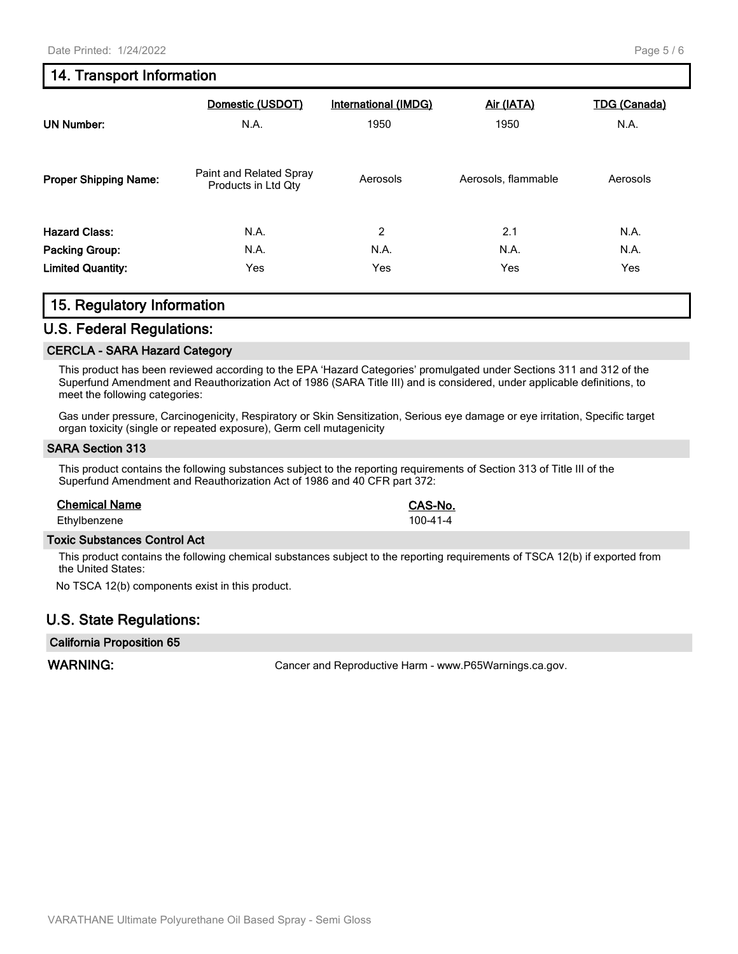# **14. Transport Information**

|                              | Domestic (USDOT)                               | <b>International (IMDG)</b> | Air (IATA)          | <b>TDG (Canada)</b> |
|------------------------------|------------------------------------------------|-----------------------------|---------------------|---------------------|
| <b>UN Number:</b>            | N.A.                                           | 1950                        | 1950                | N.A.                |
| <b>Proper Shipping Name:</b> | Paint and Related Spray<br>Products in Ltd Qty | Aerosols                    | Aerosols, flammable | Aerosols            |
| <b>Hazard Class:</b>         | N.A.                                           | 2                           | 2.1                 | N.A.                |
| Packing Group:               | N.A.                                           | N.A.                        | N.A.                | N.A.                |
| <b>Limited Quantity:</b>     | Yes                                            | Yes                         | Yes                 | Yes                 |

#### **15. Regulatory Information**

#### **U.S. Federal Regulations:**

#### **CERCLA - SARA Hazard Category**

This product has been reviewed according to the EPA 'Hazard Categories' promulgated under Sections 311 and 312 of the Superfund Amendment and Reauthorization Act of 1986 (SARA Title III) and is considered, under applicable definitions, to meet the following categories:

Gas under pressure, Carcinogenicity, Respiratory or Skin Sensitization, Serious eye damage or eye irritation, Specific target organ toxicity (single or repeated exposure), Germ cell mutagenicity

#### **SARA Section 313**

This product contains the following substances subject to the reporting requirements of Section 313 of Title III of the Superfund Amendment and Reauthorization Act of 1986 and 40 CFR part 372:

#### **Chemical Name CAS-No.**

Ethylbenzene 100-41-4

#### **Toxic Substances Control Act**

This product contains the following chemical substances subject to the reporting requirements of TSCA 12(b) if exported from the United States:

No TSCA 12(b) components exist in this product.

#### **U.S. State Regulations:**

#### **California Proposition 65**

WARNING: **WARNING:** Cancer and Reproductive Harm - www.P65Warnings.ca.gov.